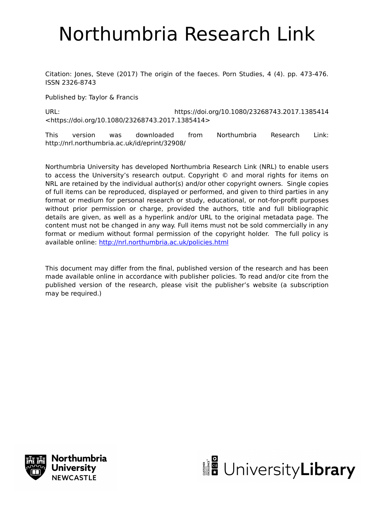# Northumbria Research Link

Citation: Jones, Steve (2017) The origin of the faeces. Porn Studies, 4 (4). pp. 473-476. ISSN 2326-8743

Published by: Taylor & Francis

URL: https://doi.org/10.1080/23268743.2017.1385414 <https://doi.org/10.1080/23268743.2017.1385414>

This version was downloaded from Northumbria Research Link: http://nrl.northumbria.ac.uk/id/eprint/32908/

Northumbria University has developed Northumbria Research Link (NRL) to enable users to access the University's research output. Copyright © and moral rights for items on NRL are retained by the individual author(s) and/or other copyright owners. Single copies of full items can be reproduced, displayed or performed, and given to third parties in any format or medium for personal research or study, educational, or not-for-profit purposes without prior permission or charge, provided the authors, title and full bibliographic details are given, as well as a hyperlink and/or URL to the original metadata page. The content must not be changed in any way. Full items must not be sold commercially in any format or medium without formal permission of the copyright holder. The full policy is available online:<http://nrl.northumbria.ac.uk/policies.html>

This document may differ from the final, published version of the research and has been made available online in accordance with publisher policies. To read and/or cite from the published version of the research, please visit the publisher's website (a subscription may be required.)



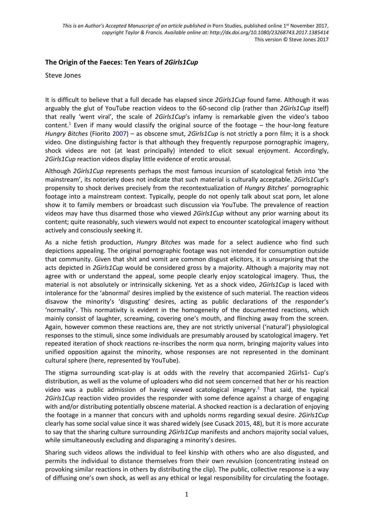## **The Origin of the Faeces: Ten Years of** *2Girls1Cup*

#### Steve Jones

It is difficult to believe that a full decade has elapsed since *2Girls1Cup* found fame. Although it was arguably the glut of YouTube reaction videos to the 60-second clip (rather than *2Girls1Cup* itself) that really 'went viral', the scale of *2Girls1Cup*'s infamy is remarkable given the video's taboo content.<sup>1</sup> Even if many would classify the original source of the footage  $-$  the hour-long feature *Hungry Bitches* (Fiorito 2007) – as obscene smut, *2Girls1Cup* is not strictly a porn film; it is a shock video. One distinguishing factor is that although they frequently repurpose pornographic imagery, shock videos are not (at least principally) intended to elicit sexual enjoyment. Accordingly, *2Girls1Cup* reaction videos display little evidence of erotic arousal.

Although *2Girls1Cup* represents perhaps the most famous incursion of scatological fetish into 'the mainstream', its notoriety does not indicate that such material is culturally acceptable. *2Girls1Cup*'s propensity to shock derives precisely from the recontextualization of *Hungry Bitches*' pornographic footage into a mainstream context. Typically, people do not openly talk about scat porn, let alone show it to family members or broadcast such discussion via YouTube. The prevalence of reaction videos may have thus disarmed those who viewed *2Girls1Cup* without any prior warning about its content; quite reasonably, such viewers would not expect to encounter scatological imagery without actively and consciously seeking it.

As a niche fetish production, *Hungry Bitches* was made for a select audience who find such depictions appealing. The original pornographic footage was not intended for consumption outside that community. Given that shit and vomit are common disgust elicitors, it is unsurprising that the acts depicted in *2Girls1Cup* would be considered gross by a majority. Although a majority may not agree with or understand the appeal, some people clearly enjoy scatological imagery. Thus, the material is not absolutely or intrinsically sickening. Yet as a shock video, *2Girls1Cup* is laced with intolerance for the 'abnormal' desires implied by the existence of such material. The reaction videos disavow the minority's 'disgusting' desires, acting as public declarations of the responder's 'normality'. This normativity is evident in the homogeneity of the documented reactions, which mainly consist of laughter, screaming, covering one's mouth, and flinching away from the screen. Again, however common these reactions are, they are not strictly universal ('natural') physiological responses to the stimuli, since some individuals are presumably aroused by scatological imagery. Yet repeated iteration of shock reactions re-inscribes the norm qua norm, bringing majority values into unified opposition against the minority, whose responses are not represented in the dominant cultural sphere (here, represented by YouTube).

The stigma surrounding scat-play is at odds with the revelry that accompanied 2Girls1- Cup's distribution, as well as the volume of uploaders who did not seem concerned that her or his reaction video was a public admission of having viewed scatological imagery.<sup>2</sup> That said, the typical *2Girls1Cup* reaction video provides the responder with some defence against a charge of engaging with and/or distributing potentially obscene material. A shocked reaction is a declaration of enjoying the footage in a manner that concurs with and upholds norms regarding sexual desire. *2Girls1Cup* clearly has some social value since it was shared widely (see Cusack 2015, 48), but it is more accurate to say that the sharing culture surrounding *2Girls1Cup* manifests and anchors majority social values, while simultaneously excluding and disparaging a minority's desires.

Sharing such videos allows the individual to feel kinship with others who are also disgusted, and permits the individual to distance themselves from their own revulsion (concentrating instead on provoking similar reactions in others by distributing the clip). The public, collective response is a way of diffusing one's own shock, as well as any ethical or legal responsibility for circulating the footage.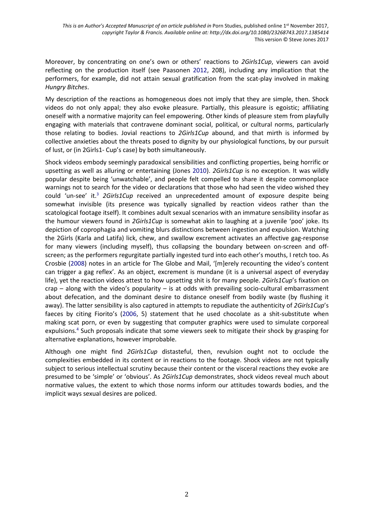Moreover, by concentrating on one's own or others' reactions to *2Girls1Cup*, viewers can avoid reflecting on the production itself (see Paasonen 2012, 208), including any implication that the performers, for example, did not attain sexual gratification from the scat-play involved in making *Hungry Bitches*.

My description of the reactions as homogeneous does not imply that they are simple, then. Shock videos do not only appal; they also evoke pleasure. Partially, this pleasure is egoistic; affiliating oneself with a normative majority can feel empowering. Other kinds of pleasure stem from playfully engaging with materials that contravene dominant social, political, or cultural norms, particularly those relating to bodies. Jovial reactions to *2Girls1Cup* abound, and that mirth is informed by collective anxieties about the threats posed to dignity by our physiological functions, by our pursuit of lust, or (in 2Girls1- Cup's case) by both simultaneously.

Shock videos embody seemingly paradoxical sensibilities and conflicting properties, being horrific or upsetting as well as alluring or entertaining (Jones 2010). *2Girls1Cup* is no exception. It was wildly popular despite being 'unwatchable', and people felt compelled to share it despite commonplace warnings not to search for the video or declarations that those who had seen the video wished they could 'un-see' it.3 *2Girls1Cup* received an unprecedented amount of exposure despite being somewhat invisible (its presence was typically signalled by reaction videos rather than the scatological footage itself). It combines adult sexual scenarios with an immature sensibility insofar as the humour viewers found in *2Girls1Cup* is somewhat akin to laughing at a juvenile 'poo' joke. Its depiction of coprophagia and vomiting blurs distinctions between ingestion and expulsion. Watching the 2Girls (Karla and Latifa) lick, chew, and swallow excrement activates an affective gag-response for many viewers (including myself), thus collapsing the boundary between on-screen and offscreen; as the performers regurgitate partially ingested turd into each other's mouths, I retch too. As Crosbie (2008) notes in an article for The Globe and Mail, '[m]erely recounting the video's content can trigger a gag reflex'. As an object, excrement is mundane (it is a universal aspect of everyday life), yet the reaction videos attest to how upsetting shit is for many people. *2Girls1Cup*'s fixation on crap – along with the video's popularity – is at odds with prevailing socio-cultural embarrassment about defecation, and the dominant desire to distance oneself from bodily waste (by flushing it away). The latter sensibility is also captured in attempts to repudiate the authenticity of *2Girls1Cup*'s faeces by citing Fiorito's (2006, 5) statement that he used chocolate as a shit-substitute when making scat porn, or even by suggesting that computer graphics were used to simulate corporeal expulsions.<sup>4</sup> Such proposals indicate that some viewers seek to mitigate their shock by grasping for alternative explanations, however improbable.

Although one might find *2Girls1Cup* distasteful, then, revulsion ought not to occlude the complexities embedded in its content or in reactions to the footage. Shock videos are not typically subject to serious intellectual scrutiny because their content or the visceral reactions they evoke are presumed to be 'simple' or 'obvious'. As *2Girls1Cup* demonstrates, shock videos reveal much about normative values, the extent to which those norms inform our attitudes towards bodies, and the implicit ways sexual desires are policed.